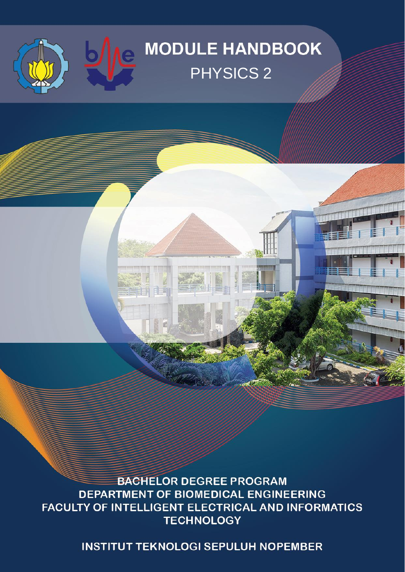## **MODULE HANDBOOK** PHYSICS 2

le

自由言

**BACHELOR DEGREE PROGRAM** DEPARTMENT OF BIOMEDICAL ENGINEERING FACULTY OF INTELLIGENT ELECTRICAL AND INFORMATICS **TECHNOLOGY** 

**INSTITUT TEKNOLOGI SEPULUH NOPEMBER**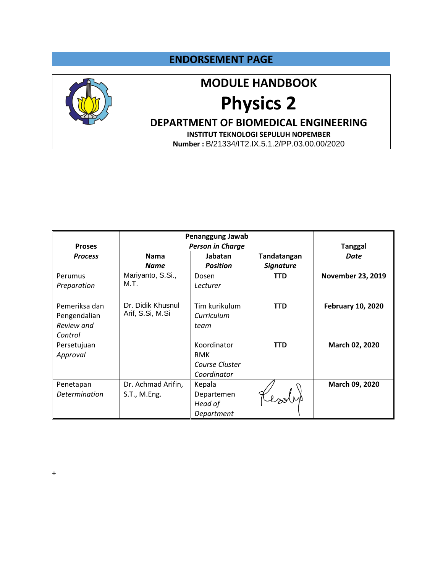### **ENDORSEMENT PAGE**



## **MODULE HANDBOOK**

# **Physics 2**

**DEPARTMENT OF BIOMEDICAL ENGINEERING**

**INSTITUT TEKNOLOGI SEPULUH NOPEMBER Number :** B/21334/IT2.IX.5.1.2/PP.03.00.00/2020

|                |                    | Penanggung Jawab        |                  |                          |
|----------------|--------------------|-------------------------|------------------|--------------------------|
| <b>Proses</b>  |                    | <b>Person in Charge</b> |                  | <b>Tanggal</b>           |
| <b>Process</b> | <b>Nama</b>        | Jabatan                 | Tandatangan      | <b>Date</b>              |
|                | <b>Name</b>        | <b>Position</b>         | <b>Signature</b> |                          |
| Perumus        | Mariyanto, S.Si.,  | Dosen                   | TTD              | <b>November 23, 2019</b> |
| Preparation    | M.T.               | Lecturer                |                  |                          |
|                |                    |                         |                  |                          |
| Pemeriksa dan  | Dr. Didik Khusnul  | Tim kurikulum           | <b>TTD</b>       | <b>February 10, 2020</b> |
| Pengendalian   | Arif, S.Si, M.Si   | Curriculum              |                  |                          |
| Review and     |                    | team                    |                  |                          |
| Control        |                    |                         |                  |                          |
| Persetujuan    |                    | Koordinator             | <b>TTD</b>       | March 02, 2020           |
| Approval       |                    | <b>RMK</b>              |                  |                          |
|                |                    | Course Cluster          |                  |                          |
|                |                    | Coordinator             |                  |                          |
| Penetapan      | Dr. Achmad Arifin, | Kepala                  |                  | March 09, 2020           |
| Determination  | S.T., M.Eng.       | Departemen              |                  |                          |
|                |                    | Head of                 |                  |                          |
|                |                    | Department              |                  |                          |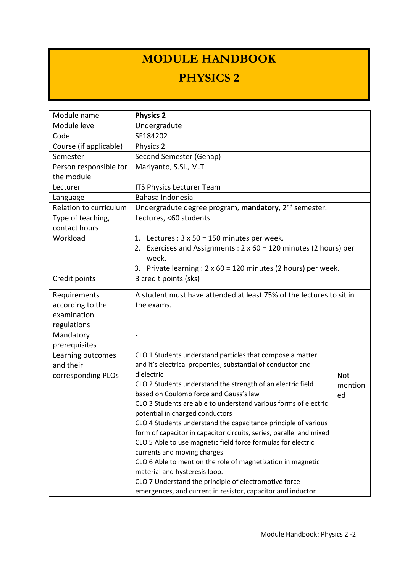## **MODULE HANDBOOK**

## **PHYSICS 2**

| Module name            | <b>Physics 2</b>                                                            |         |
|------------------------|-----------------------------------------------------------------------------|---------|
| Module level           | Undergradute                                                                |         |
| Code                   | SF184202                                                                    |         |
| Course (if applicable) | Physics 2                                                                   |         |
| Semester               | Second Semester (Genap)                                                     |         |
| Person responsible for | Mariyanto, S.Si., M.T.                                                      |         |
| the module             |                                                                             |         |
| Lecturer               | <b>ITS Physics Lecturer Team</b>                                            |         |
| Language               | Bahasa Indonesia                                                            |         |
| Relation to curriculum | Undergradute degree program, mandatory, 2 <sup>nd</sup> semester.           |         |
| Type of teaching,      | Lectures, <60 students                                                      |         |
| contact hours          |                                                                             |         |
| Workload               | 1.<br>Lectures : $3 \times 50 = 150$ minutes per week.                      |         |
|                        | Exercises and Assignments : $2 \times 60 = 120$ minutes (2 hours) per<br>2. |         |
|                        | week.                                                                       |         |
|                        | Private learning : $2 \times 60 = 120$ minutes (2 hours) per week.<br>3.    |         |
| Credit points          | 3 credit points (sks)                                                       |         |
| Requirements           | A student must have attended at least 75% of the lectures to sit in         |         |
| according to the       | the exams.                                                                  |         |
| examination            |                                                                             |         |
| regulations            |                                                                             |         |
| Mandatory              | $\overline{\phantom{a}}$                                                    |         |
| prerequisites          |                                                                             |         |
| Learning outcomes      | CLO 1 Students understand particles that compose a matter                   |         |
| and their              | and it's electrical properties, substantial of conductor and                |         |
| corresponding PLOs     | dielectric                                                                  | Not     |
|                        | CLO 2 Students understand the strength of an electric field                 | mention |
|                        | based on Coulomb force and Gauss's law                                      | ed      |
|                        | CLO 3 Students are able to understand various forms of electric             |         |
|                        | potential in charged conductors                                             |         |
|                        | CLO 4 Students understand the capacitance principle of various              |         |
|                        | form of capacitor in capacitor circuits, series, parallel and mixed         |         |
|                        | CLO 5 Able to use magnetic field force formulas for electric                |         |
|                        | currents and moving charges                                                 |         |
|                        | CLO 6 Able to mention the role of magnetization in magnetic                 |         |
|                        | material and hysteresis loop.                                               |         |
|                        | CLO 7 Understand the principle of electromotive force                       |         |
|                        | emergences, and current in resistor, capacitor and inductor                 |         |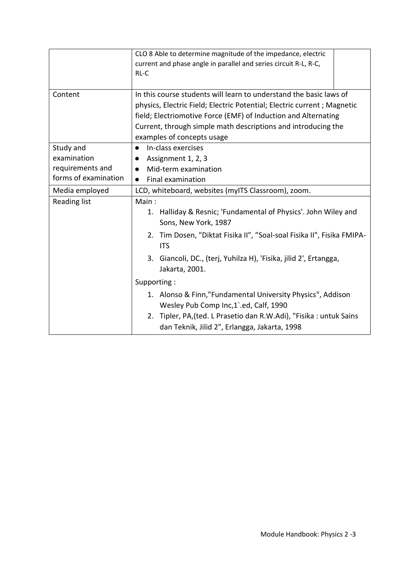|                                                                      | CLO 8 Able to determine magnitude of the impedance, electric<br>current and phase angle in parallel and series circuit R-L, R-C,<br>$RL-C$                                                                                                                                                                     |
|----------------------------------------------------------------------|----------------------------------------------------------------------------------------------------------------------------------------------------------------------------------------------------------------------------------------------------------------------------------------------------------------|
| Content                                                              | In this course students will learn to understand the basic laws of<br>physics, Electric Field; Electric Potential; Electric current; Magnetic<br>field; Electriomotive Force (EMF) of Induction and Alternating<br>Current, through simple math descriptions and introducing the<br>examples of concepts usage |
| Study and<br>examination<br>requirements and<br>forms of examination | In-class exercises<br>$\bullet$<br>Assignment 1, 2, 3<br>$\bullet$<br>Mid-term examination<br>$\bullet$<br>Final examination<br>$\bullet$                                                                                                                                                                      |
| Media employed                                                       | LCD, whiteboard, websites (myITS Classroom), zoom.                                                                                                                                                                                                                                                             |
| <b>Reading list</b>                                                  | Main:<br>1. Halliday & Resnic; 'Fundamental of Physics'. John Wiley and<br>Sons, New York, 1987<br>2. Tim Dosen, "Diktat Fisika II", "Soal-soal Fisika II", Fisika FMIPA-<br><b>ITS</b><br>3. Giancoli, DC., (terj, Yuhilza H), 'Fisika, jilid 2', Ertangga,                                                   |
|                                                                      | Jakarta, 2001.<br>Supporting:                                                                                                                                                                                                                                                                                  |
|                                                                      | 1. Alonso & Finn,"Fundamental University Physics", Addison<br>Wesley Pub Comp Inc,1'.ed, Calf, 1990<br>2. Tipler, PA, (ted. L Prasetio dan R.W.Adi), "Fisika : untuk Sains<br>dan Teknik, Jilid 2", Erlangga, Jakarta, 1998                                                                                    |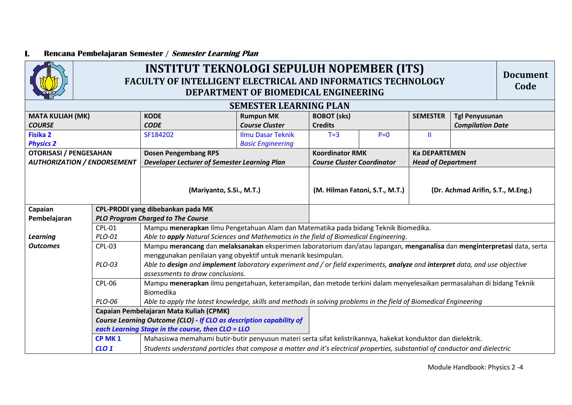#### **I. Rencana Pembelajaran Semester / Semester Learning Plan**



## **INSTITUT TEKNOLOGI SEPULUH NOPEMBER (ITS) FACULTY OF INTELLIGENT ELECTRICAL AND INFORMATICS TECHNOLOGY DEPARTMENT OF BIOMEDICAL ENGINEERING**

**Document Code**

| <b>SEMESTER LEARNING PLAN</b><br><b>KODE</b><br><b>SEMESTER</b><br><b>MATA KULIAH (MK)</b><br><b>Rumpun MK</b><br><b>BOBOT</b> (sks)<br><b>Tgl Penyusunan</b><br><b>Course Cluster</b><br><b>Compilation Date</b><br><b>CODE</b><br><b>Credits</b><br><b>COURSE</b><br><b>Fisika 2</b><br>SF184202<br><b>Ilmu Dasar Teknik</b><br>$P=0$<br>Ш<br>$T=3$<br><b>Physics 2</b><br><b>Basic Engineering</b><br><b>Dosen Pengembang RPS</b><br><b>OTORISASI / PENGESAHAN</b><br><b>Koordinator RMK</b><br><b>Ka DEPARTEMEN</b><br><b>AUTHORIZATION / ENDORSEMENT</b><br><b>Developer Lecturer of Semester Learning Plan</b><br><b>Head of Department</b><br><b>Course Cluster Coordinator</b><br>(M. Hilman Fatoni, S.T., M.T.)<br>(Mariyanto, S.Si., M.T.)<br>Capaian<br>CPL-PRODI yang dibebankan pada MK<br><b>PLO Program Charged to The Course</b><br>Pembelajaran<br>Mampu menerapkan Ilmu Pengetahuan Alam dan Matematika pada bidang Teknik Biomedika.<br><b>CPL-01</b><br>Able to apply Natural Sciences and Mathematics in the field of Biomedical Engineering.<br><b>Learning</b><br>PLO-01<br><b>Outcomes</b><br><b>CPL-03</b><br>menggunakan penilaian yang obyektif untuk menarik kesimpulan.<br>Able to design and implement laboratory experiment and / or field experiments, analyze and interpret data, and use objective<br>PLO-03<br>assessments to draw conclusions.<br>Mampu menerapkan ilmu pengetahuan, keterampilan, dan metode terkini dalam menyelesaikan permasalahan di bidang Teknik<br>CPL-06<br>Biomedika | $\leftrightarrow$ |  |                                   | DEPARTMENT OF BIOMEDICAL ENGINEERING                                                                                     |  |  |  |  |  |
|------------------------------------------------------------------------------------------------------------------------------------------------------------------------------------------------------------------------------------------------------------------------------------------------------------------------------------------------------------------------------------------------------------------------------------------------------------------------------------------------------------------------------------------------------------------------------------------------------------------------------------------------------------------------------------------------------------------------------------------------------------------------------------------------------------------------------------------------------------------------------------------------------------------------------------------------------------------------------------------------------------------------------------------------------------------------------------------------------------------------------------------------------------------------------------------------------------------------------------------------------------------------------------------------------------------------------------------------------------------------------------------------------------------------------------------------------------------------------------------------------------------------------------|-------------------|--|-----------------------------------|--------------------------------------------------------------------------------------------------------------------------|--|--|--|--|--|
|                                                                                                                                                                                                                                                                                                                                                                                                                                                                                                                                                                                                                                                                                                                                                                                                                                                                                                                                                                                                                                                                                                                                                                                                                                                                                                                                                                                                                                                                                                                                    |                   |  |                                   |                                                                                                                          |  |  |  |  |  |
|                                                                                                                                                                                                                                                                                                                                                                                                                                                                                                                                                                                                                                                                                                                                                                                                                                                                                                                                                                                                                                                                                                                                                                                                                                                                                                                                                                                                                                                                                                                                    |                   |  |                                   |                                                                                                                          |  |  |  |  |  |
|                                                                                                                                                                                                                                                                                                                                                                                                                                                                                                                                                                                                                                                                                                                                                                                                                                                                                                                                                                                                                                                                                                                                                                                                                                                                                                                                                                                                                                                                                                                                    |                   |  |                                   |                                                                                                                          |  |  |  |  |  |
|                                                                                                                                                                                                                                                                                                                                                                                                                                                                                                                                                                                                                                                                                                                                                                                                                                                                                                                                                                                                                                                                                                                                                                                                                                                                                                                                                                                                                                                                                                                                    |                   |  |                                   |                                                                                                                          |  |  |  |  |  |
|                                                                                                                                                                                                                                                                                                                                                                                                                                                                                                                                                                                                                                                                                                                                                                                                                                                                                                                                                                                                                                                                                                                                                                                                                                                                                                                                                                                                                                                                                                                                    |                   |  |                                   |                                                                                                                          |  |  |  |  |  |
|                                                                                                                                                                                                                                                                                                                                                                                                                                                                                                                                                                                                                                                                                                                                                                                                                                                                                                                                                                                                                                                                                                                                                                                                                                                                                                                                                                                                                                                                                                                                    |                   |  |                                   |                                                                                                                          |  |  |  |  |  |
|                                                                                                                                                                                                                                                                                                                                                                                                                                                                                                                                                                                                                                                                                                                                                                                                                                                                                                                                                                                                                                                                                                                                                                                                                                                                                                                                                                                                                                                                                                                                    |                   |  |                                   |                                                                                                                          |  |  |  |  |  |
|                                                                                                                                                                                                                                                                                                                                                                                                                                                                                                                                                                                                                                                                                                                                                                                                                                                                                                                                                                                                                                                                                                                                                                                                                                                                                                                                                                                                                                                                                                                                    |                   |  | (Dr. Achmad Arifin, S.T., M.Eng.) |                                                                                                                          |  |  |  |  |  |
|                                                                                                                                                                                                                                                                                                                                                                                                                                                                                                                                                                                                                                                                                                                                                                                                                                                                                                                                                                                                                                                                                                                                                                                                                                                                                                                                                                                                                                                                                                                                    |                   |  |                                   |                                                                                                                          |  |  |  |  |  |
|                                                                                                                                                                                                                                                                                                                                                                                                                                                                                                                                                                                                                                                                                                                                                                                                                                                                                                                                                                                                                                                                                                                                                                                                                                                                                                                                                                                                                                                                                                                                    |                   |  |                                   |                                                                                                                          |  |  |  |  |  |
|                                                                                                                                                                                                                                                                                                                                                                                                                                                                                                                                                                                                                                                                                                                                                                                                                                                                                                                                                                                                                                                                                                                                                                                                                                                                                                                                                                                                                                                                                                                                    |                   |  |                                   |                                                                                                                          |  |  |  |  |  |
|                                                                                                                                                                                                                                                                                                                                                                                                                                                                                                                                                                                                                                                                                                                                                                                                                                                                                                                                                                                                                                                                                                                                                                                                                                                                                                                                                                                                                                                                                                                                    |                   |  |                                   | Mampu merancang dan melaksanakan eksperimen laboratorium dan/atau lapangan, menganalisa dan menginterpretasi data, serta |  |  |  |  |  |
|                                                                                                                                                                                                                                                                                                                                                                                                                                                                                                                                                                                                                                                                                                                                                                                                                                                                                                                                                                                                                                                                                                                                                                                                                                                                                                                                                                                                                                                                                                                                    |                   |  |                                   |                                                                                                                          |  |  |  |  |  |
|                                                                                                                                                                                                                                                                                                                                                                                                                                                                                                                                                                                                                                                                                                                                                                                                                                                                                                                                                                                                                                                                                                                                                                                                                                                                                                                                                                                                                                                                                                                                    |                   |  |                                   |                                                                                                                          |  |  |  |  |  |
|                                                                                                                                                                                                                                                                                                                                                                                                                                                                                                                                                                                                                                                                                                                                                                                                                                                                                                                                                                                                                                                                                                                                                                                                                                                                                                                                                                                                                                                                                                                                    |                   |  |                                   |                                                                                                                          |  |  |  |  |  |
|                                                                                                                                                                                                                                                                                                                                                                                                                                                                                                                                                                                                                                                                                                                                                                                                                                                                                                                                                                                                                                                                                                                                                                                                                                                                                                                                                                                                                                                                                                                                    |                   |  |                                   |                                                                                                                          |  |  |  |  |  |
|                                                                                                                                                                                                                                                                                                                                                                                                                                                                                                                                                                                                                                                                                                                                                                                                                                                                                                                                                                                                                                                                                                                                                                                                                                                                                                                                                                                                                                                                                                                                    |                   |  |                                   |                                                                                                                          |  |  |  |  |  |
| Able to apply the latest knowledge, skills and methods in solving problems in the field of Biomedical Engineering<br>PLO-06                                                                                                                                                                                                                                                                                                                                                                                                                                                                                                                                                                                                                                                                                                                                                                                                                                                                                                                                                                                                                                                                                                                                                                                                                                                                                                                                                                                                        |                   |  |                                   |                                                                                                                          |  |  |  |  |  |
| Capaian Pembelajaran Mata Kuliah (CPMK)                                                                                                                                                                                                                                                                                                                                                                                                                                                                                                                                                                                                                                                                                                                                                                                                                                                                                                                                                                                                                                                                                                                                                                                                                                                                                                                                                                                                                                                                                            |                   |  |                                   |                                                                                                                          |  |  |  |  |  |
| Course Learning Outcome (CLO) If CLO as description capability of                                                                                                                                                                                                                                                                                                                                                                                                                                                                                                                                                                                                                                                                                                                                                                                                                                                                                                                                                                                                                                                                                                                                                                                                                                                                                                                                                                                                                                                                  |                   |  |                                   |                                                                                                                          |  |  |  |  |  |
| each Learning Stage in the course, then CLO = LLO                                                                                                                                                                                                                                                                                                                                                                                                                                                                                                                                                                                                                                                                                                                                                                                                                                                                                                                                                                                                                                                                                                                                                                                                                                                                                                                                                                                                                                                                                  |                   |  |                                   |                                                                                                                          |  |  |  |  |  |
| Mahasiswa memahami butir-butir penyusun materi serta sifat kelistrikannya, hakekat konduktor dan dielektrik.<br>CP MK <sub>1</sub>                                                                                                                                                                                                                                                                                                                                                                                                                                                                                                                                                                                                                                                                                                                                                                                                                                                                                                                                                                                                                                                                                                                                                                                                                                                                                                                                                                                                 |                   |  |                                   |                                                                                                                          |  |  |  |  |  |
| Students understand particles that compose a matter and it's electrical properties, substantial of conductor and dielectric<br>$CLO$ 1                                                                                                                                                                                                                                                                                                                                                                                                                                                                                                                                                                                                                                                                                                                                                                                                                                                                                                                                                                                                                                                                                                                                                                                                                                                                                                                                                                                             |                   |  |                                   |                                                                                                                          |  |  |  |  |  |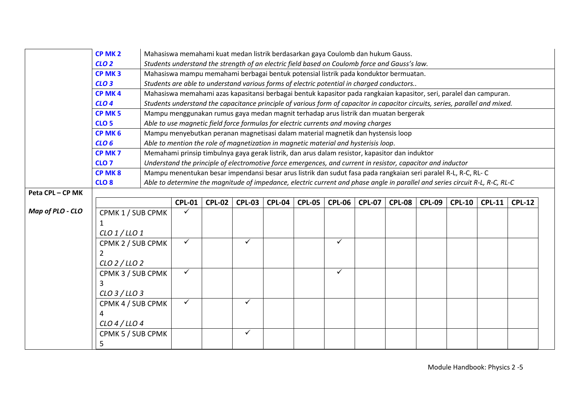|                  | CP MK <sub>2</sub> |  |               |               |               | Mahasiswa memahami kuat medan listrik berdasarkan gaya Coulomb dan hukum Gauss.                |               |               |               |               |                                                                                                                               |               |               |               |  |
|------------------|--------------------|--|---------------|---------------|---------------|------------------------------------------------------------------------------------------------|---------------|---------------|---------------|---------------|-------------------------------------------------------------------------------------------------------------------------------|---------------|---------------|---------------|--|
|                  | CLO <sub>2</sub>   |  |               |               |               | Students understand the strength of an electric field based on Coulomb force and Gauss's law.  |               |               |               |               |                                                                                                                               |               |               |               |  |
|                  | CP MK <sub>3</sub> |  |               |               |               | Mahasiswa mampu memahami berbagai bentuk potensial listrik pada konduktor bermuatan.           |               |               |               |               |                                                                                                                               |               |               |               |  |
|                  | CLO <sub>3</sub>   |  |               |               |               | Students are able to understand various forms of electric potential in charged conductors      |               |               |               |               |                                                                                                                               |               |               |               |  |
|                  | CP MK4             |  |               |               |               |                                                                                                |               |               |               |               | Mahasiswa memahami azas kapasitansi berbagai bentuk kapasitor pada rangkaian kapasitor, seri, paralel dan campuran.           |               |               |               |  |
|                  | CLO <sub>4</sub>   |  |               |               |               |                                                                                                |               |               |               |               | Students understand the capacitance principle of various form of capacitor in capacitor circuits, series, parallel and mixed. |               |               |               |  |
|                  | CP MK <sub>5</sub> |  |               |               |               | Mampu menggunakan rumus gaya medan magnit terhadap arus listrik dan muatan bergerak            |               |               |               |               |                                                                                                                               |               |               |               |  |
|                  | CLO <sub>5</sub>   |  |               |               |               | Able to use magnetic field force formulas for electric currents and moving charges             |               |               |               |               |                                                                                                                               |               |               |               |  |
|                  | CP MK 6            |  |               |               |               | Mampu menyebutkan peranan magnetisasi dalam material magnetik dan hystensis loop               |               |               |               |               |                                                                                                                               |               |               |               |  |
|                  | CLO <sub>6</sub>   |  |               |               |               | Able to mention the role of magnetization in magnetic material and hysterisis loop.            |               |               |               |               |                                                                                                                               |               |               |               |  |
|                  | CP MK <sub>7</sub> |  |               |               |               | Memahami prinsip timbulnya gaya gerak listrik, dan arus dalam resistor, kapasitor dan induktor |               |               |               |               |                                                                                                                               |               |               |               |  |
|                  | CLO <sub>7</sub>   |  |               |               |               |                                                                                                |               |               |               |               | Understand the principle of electromotive force emergences, and current in resistor, capacitor and inductor                   |               |               |               |  |
|                  | CP MK8             |  |               |               |               |                                                                                                |               |               |               |               | Mampu menentukan besar impendansi besar arus listrik dan sudut fasa pada rangkaian seri paralel R-L, R-C, RL-C                |               |               |               |  |
|                  | CLO <sub>8</sub>   |  |               |               |               |                                                                                                |               |               |               |               | Able to determine the magnitude of impedance, electric current and phase angle in parallel and series circuit R-L, R-C, RL-C  |               |               |               |  |
| Peta CPL-CP MK   |                    |  |               |               |               |                                                                                                |               |               |               |               |                                                                                                                               |               |               |               |  |
|                  |                    |  | <b>CPL-01</b> | <b>CPL-02</b> | <b>CPL-03</b> | <b>CPL-04</b>                                                                                  | <b>CPL-05</b> | <b>CPL-06</b> | <b>CPL-07</b> | <b>CPL-08</b> | <b>CPL-09</b>                                                                                                                 | <b>CPL-10</b> | <b>CPL-11</b> | <b>CPL-12</b> |  |
| Map of PLO - CLO | CPMK 1 / SUB CPMK  |  |               |               |               |                                                                                                |               |               |               |               |                                                                                                                               |               |               |               |  |
|                  | 1                  |  |               |               |               |                                                                                                |               |               |               |               |                                                                                                                               |               |               |               |  |
|                  | $CLO$ 1 / LLO 1    |  |               |               |               |                                                                                                |               |               |               |               |                                                                                                                               |               |               |               |  |
|                  | CPMK 2 / SUB CPMK  |  | ✓             |               | $\checkmark$  |                                                                                                |               | ✓             |               |               |                                                                                                                               |               |               |               |  |
|                  | 2                  |  |               |               |               |                                                                                                |               |               |               |               |                                                                                                                               |               |               |               |  |
|                  | $CLO$ 2/LLO 2      |  |               |               |               |                                                                                                |               |               |               |               |                                                                                                                               |               |               |               |  |
|                  | CPMK 3 / SUB CPMK  |  | ✓             |               |               |                                                                                                |               | ✓             |               |               |                                                                                                                               |               |               |               |  |
|                  | 3                  |  |               |               |               |                                                                                                |               |               |               |               |                                                                                                                               |               |               |               |  |
|                  | $CLO$ 3 / LLO 3    |  |               |               |               |                                                                                                |               |               |               |               |                                                                                                                               |               |               |               |  |
|                  | CPMK 4 / SUB CPMK  |  | ✓             |               | $\checkmark$  |                                                                                                |               |               |               |               |                                                                                                                               |               |               |               |  |
|                  | 4                  |  |               |               |               |                                                                                                |               |               |               |               |                                                                                                                               |               |               |               |  |
|                  | $CLO$ 4 / LLO 4    |  |               |               |               |                                                                                                |               |               |               |               |                                                                                                                               |               |               |               |  |
|                  | CPMK 5 / SUB CPMK  |  |               |               | $\checkmark$  |                                                                                                |               |               |               |               |                                                                                                                               |               |               |               |  |
|                  | 5                  |  |               |               |               |                                                                                                |               |               |               |               |                                                                                                                               |               |               |               |  |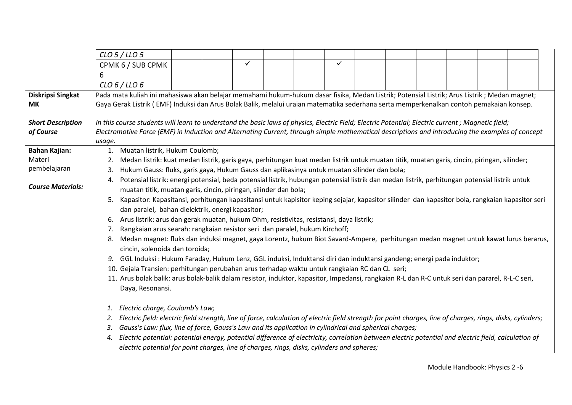|                                       | $CLO$ 5 / LLO 5                                                                                                                                                   |  |  |  |  |  |  |  |  |  |
|---------------------------------------|-------------------------------------------------------------------------------------------------------------------------------------------------------------------|--|--|--|--|--|--|--|--|--|
|                                       | ✓<br>$\checkmark$<br>CPMK 6 / SUB CPMK                                                                                                                            |  |  |  |  |  |  |  |  |  |
|                                       | 6                                                                                                                                                                 |  |  |  |  |  |  |  |  |  |
|                                       | CLO 6 / LLO 6                                                                                                                                                     |  |  |  |  |  |  |  |  |  |
| Diskripsi Singkat                     | Pada mata kuliah ini mahasiswa akan belajar memahami hukum-hukum dasar fisika, Medan Listrik; Potensial Listrik; Arus Listrik; Medan magnet;                      |  |  |  |  |  |  |  |  |  |
| <b>MK</b>                             | Gaya Gerak Listrik (EMF) Induksi dan Arus Bolak Balik, melalui uraian matematika sederhana serta memperkenalkan contoh pemakaian konsep.                          |  |  |  |  |  |  |  |  |  |
|                                       | In this course students will learn to understand the basic laws of physics, Electric Field; Electric Potential; Electric current; Magnetic field;                 |  |  |  |  |  |  |  |  |  |
| <b>Short Description</b><br>of Course | Electromotive Force (EMF) in Induction and Alternating Current, through simple mathematical descriptions and introducing the examples of concept                  |  |  |  |  |  |  |  |  |  |
|                                       | usage.                                                                                                                                                            |  |  |  |  |  |  |  |  |  |
| <b>Bahan Kajian:</b>                  | Muatan listrik, Hukum Coulomb;<br>1.                                                                                                                              |  |  |  |  |  |  |  |  |  |
| Materi                                | Medan listrik: kuat medan listrik, garis gaya, perhitungan kuat medan listrik untuk muatan titik, muatan garis, cincin, piringan, silinder;<br>2.                 |  |  |  |  |  |  |  |  |  |
| pembelajaran                          | Hukum Gauss: fluks, garis gaya, Hukum Gauss dan aplikasinya untuk muatan silinder dan bola;<br>3.                                                                 |  |  |  |  |  |  |  |  |  |
|                                       | Potensial listrik: energi potensial, beda potensial listrik, hubungan potensial listrik dan medan listrik, perhitungan potensial listrik untuk<br>4.              |  |  |  |  |  |  |  |  |  |
| <b>Course Materials:</b>              | muatan titik, muatan garis, cincin, piringan, silinder dan bola;                                                                                                  |  |  |  |  |  |  |  |  |  |
|                                       | Kapasitor: Kapasitansi, perhitungan kapasitansi untuk kapisitor keping sejajar, kapasitor silinder dan kapasitor bola, rangkaian kapasitor seri<br>5.             |  |  |  |  |  |  |  |  |  |
|                                       | dan paralel, bahan dielektrik, energi kapasitor;                                                                                                                  |  |  |  |  |  |  |  |  |  |
|                                       | 6. Arus listrik: arus dan gerak muatan, hukum Ohm, resistivitas, resistansi, daya listrik;                                                                        |  |  |  |  |  |  |  |  |  |
|                                       | Rangkaian arus searah: rangkaian resistor seri dan paralel, hukum Kirchoff;<br>7.                                                                                 |  |  |  |  |  |  |  |  |  |
|                                       | Medan magnet: fluks dan induksi magnet, gaya Lorentz, hukum Biot Savard-Ampere, perhitungan medan magnet untuk kawat lurus berarus,<br>8.                         |  |  |  |  |  |  |  |  |  |
|                                       | cincin, solenoida dan toroida;                                                                                                                                    |  |  |  |  |  |  |  |  |  |
|                                       | GGL Induksi: Hukum Faraday, Hukum Lenz, GGL induksi, Induktansi diri dan induktansi gandeng; energi pada induktor;<br>9.                                          |  |  |  |  |  |  |  |  |  |
|                                       | 10. Gejala Transien: perhitungan perubahan arus terhadap waktu untuk rangkaian RC dan CL seri;                                                                    |  |  |  |  |  |  |  |  |  |
|                                       | 11. Arus bolak balik: arus bolak-balik dalam resistor, induktor, kapasitor, Impedansi, rangkaian R-L dan R-C untuk seri dan pararel, R-L-C seri,                  |  |  |  |  |  |  |  |  |  |
|                                       | Daya, Resonansi.                                                                                                                                                  |  |  |  |  |  |  |  |  |  |
|                                       | Electric charge, Coulomb's Law;<br>1.                                                                                                                             |  |  |  |  |  |  |  |  |  |
|                                       | Electric field: electric field strength, line of force, calculation of electric field strength for point charges, line of charges, rings, disks, cylinders;<br>2. |  |  |  |  |  |  |  |  |  |
|                                       | Gauss's Law: flux, line of force, Gauss's Law and its application in cylindrical and spherical charges;<br>3.                                                     |  |  |  |  |  |  |  |  |  |
|                                       | Electric potential: potential energy, potential difference of electricity, correlation between electric potential and electric field, calculation of<br>4.        |  |  |  |  |  |  |  |  |  |
|                                       | electric potential for point charges, line of charges, rings, disks, cylinders and spheres;                                                                       |  |  |  |  |  |  |  |  |  |
|                                       |                                                                                                                                                                   |  |  |  |  |  |  |  |  |  |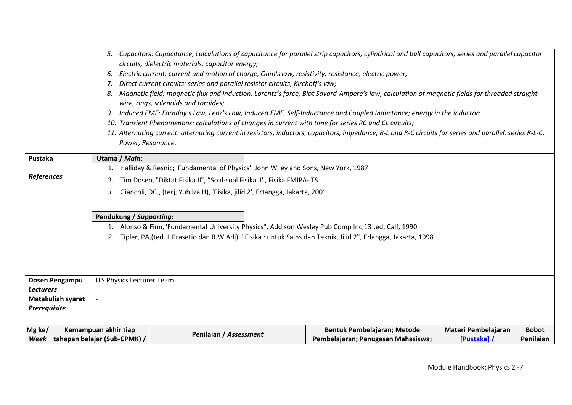|                   |                              |                                                                                  |                                                                        | 5. Capacitors: Capacitance, calculations of capacitance for parallel strip capacitors, cylindrical and ball capacitors, series and parallel capacitor    |                     |              |  |  |  |
|-------------------|------------------------------|----------------------------------------------------------------------------------|------------------------------------------------------------------------|----------------------------------------------------------------------------------------------------------------------------------------------------------|---------------------|--------------|--|--|--|
|                   |                              | circuits, dielectric materials, capacitor energy;                                |                                                                        |                                                                                                                                                          |                     |              |  |  |  |
|                   | 6.                           |                                                                                  |                                                                        | Electric current: current and motion of charge, Ohm's law, resistivity, resistance, electric power;                                                      |                     |              |  |  |  |
|                   | 7.                           | Direct current circuits: series and parallel resistor circuits, Kirchoff's law;  |                                                                        |                                                                                                                                                          |                     |              |  |  |  |
|                   | 8.                           |                                                                                  |                                                                        | Magnetic field: magnetic flux and induction, Lorentz's force, Biot Savard-Ampere's law, calculation of magnetic fields for threaded straight             |                     |              |  |  |  |
|                   |                              | wire, rings, solenoids and toroides;                                             |                                                                        |                                                                                                                                                          |                     |              |  |  |  |
|                   |                              |                                                                                  |                                                                        | Induced EMF: Faraday's Law, Lenz's Law, Induced EMF, Self-Inductance and Coupled Inductance; energy in the inductor;                                     |                     |              |  |  |  |
|                   |                              |                                                                                  |                                                                        | 10. Transient Phenomenons: calculations of changes in current with time for series RC and CL circuits;                                                   |                     |              |  |  |  |
|                   |                              |                                                                                  |                                                                        | 11. Alternating current: alternating current in resistors, inductors, capacitors, impedance, R-L and R-C circuits for series and parallel, series R-L-C, |                     |              |  |  |  |
|                   | Power, Resonance.            |                                                                                  |                                                                        |                                                                                                                                                          |                     |              |  |  |  |
| Pustaka           | Utama / Main:                |                                                                                  |                                                                        |                                                                                                                                                          |                     |              |  |  |  |
|                   | 1.                           | Halliday & Resnic; 'Fundamental of Physics'. John Wiley and Sons, New York, 1987 |                                                                        |                                                                                                                                                          |                     |              |  |  |  |
| References        | 2.                           |                                                                                  | Tim Dosen, "Diktat Fisika II", "Soal-soal Fisika II", Fisika FMIPA-ITS |                                                                                                                                                          |                     |              |  |  |  |
|                   | 3.                           | Giancoli, DC., (terj, Yuhilza H), 'Fisika, jilid 2', Ertangga, Jakarta, 2001     |                                                                        |                                                                                                                                                          |                     |              |  |  |  |
|                   |                              |                                                                                  |                                                                        |                                                                                                                                                          |                     |              |  |  |  |
|                   |                              |                                                                                  |                                                                        |                                                                                                                                                          |                     |              |  |  |  |
|                   | Pendukung / Supporting:      |                                                                                  |                                                                        |                                                                                                                                                          |                     |              |  |  |  |
|                   |                              |                                                                                  |                                                                        | 1. Alonso & Finn,"Fundamental University Physics", Addison Wesley Pub Comp Inc, 13'.ed, Calf, 1990                                                       |                     |              |  |  |  |
|                   |                              |                                                                                  |                                                                        | Tipler, PA, (ted. L Prasetio dan R.W.Adi), "Fisika: untuk Sains dan Teknik, Jilid 2", Erlangga, Jakarta, 1998                                            |                     |              |  |  |  |
|                   |                              |                                                                                  |                                                                        |                                                                                                                                                          |                     |              |  |  |  |
|                   |                              |                                                                                  |                                                                        |                                                                                                                                                          |                     |              |  |  |  |
|                   |                              |                                                                                  |                                                                        |                                                                                                                                                          |                     |              |  |  |  |
| Dosen Pengampu    | ITS Physics Lecturer Team    |                                                                                  |                                                                        |                                                                                                                                                          |                     |              |  |  |  |
| <b>Lecturers</b>  |                              |                                                                                  |                                                                        |                                                                                                                                                          |                     |              |  |  |  |
| Matakuliah syarat |                              |                                                                                  |                                                                        |                                                                                                                                                          |                     |              |  |  |  |
| Prerequisite      |                              |                                                                                  |                                                                        |                                                                                                                                                          |                     |              |  |  |  |
|                   |                              |                                                                                  |                                                                        |                                                                                                                                                          |                     |              |  |  |  |
| Mg ke/            | Kemampuan akhir tiap         |                                                                                  |                                                                        | Bentuk Pembelajaran; Metode                                                                                                                              | Materi Pembelajaran | <b>Bobot</b> |  |  |  |
| Week              | tahapan belajar (Sub-CPMK) / | Penilaian / Assessment                                                           |                                                                        | Pembelajaran; Penugasan Mahasiswa;                                                                                                                       | [Pustaka] /         | Penilaian    |  |  |  |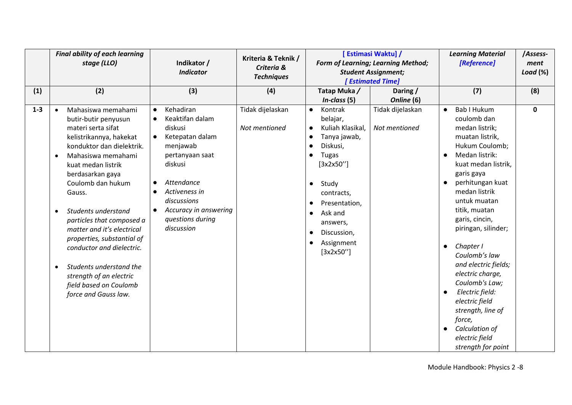|         | <b>Final ability of each learning</b><br>stage (LLO)                                                                                                                                                                                                                                                                                                                                                                                                                                                                             | Indikator /<br><b>Indicator</b>                                                                                                                                                                                                                                                             | Kriteria & Teknik /<br>Criteria &<br><b>Techniques</b> |                                                                                                                                                                                                                                                                           | [ Estimasi Waktu] /<br><b>Form of Learning; Learning Method;</b><br><b>Student Assignment;</b><br><b>Estimated Time</b> | <b>Learning Material</b><br>[Reference]                                                                                                                                                                                                                                                                                                                                                                                                                                                                            | /Assess-<br>ment<br>Load $(\%)$ |
|---------|----------------------------------------------------------------------------------------------------------------------------------------------------------------------------------------------------------------------------------------------------------------------------------------------------------------------------------------------------------------------------------------------------------------------------------------------------------------------------------------------------------------------------------|---------------------------------------------------------------------------------------------------------------------------------------------------------------------------------------------------------------------------------------------------------------------------------------------|--------------------------------------------------------|---------------------------------------------------------------------------------------------------------------------------------------------------------------------------------------------------------------------------------------------------------------------------|-------------------------------------------------------------------------------------------------------------------------|--------------------------------------------------------------------------------------------------------------------------------------------------------------------------------------------------------------------------------------------------------------------------------------------------------------------------------------------------------------------------------------------------------------------------------------------------------------------------------------------------------------------|---------------------------------|
| (1)     | (2)                                                                                                                                                                                                                                                                                                                                                                                                                                                                                                                              | (3)                                                                                                                                                                                                                                                                                         | (4)                                                    | Tatap Muka /<br>$In-class (5)$                                                                                                                                                                                                                                            | Daring /<br>Online (6)                                                                                                  | (7)                                                                                                                                                                                                                                                                                                                                                                                                                                                                                                                | (8)                             |
| $1 - 3$ | Mahasiswa memahami<br>$\bullet$<br>butir-butir penyusun<br>materi serta sifat<br>kelistrikannya, hakekat<br>konduktor dan dielektrik.<br>Mahasiswa memahami<br>$\bullet$<br>kuat medan listrik<br>berdasarkan gaya<br>Coulomb dan hukum<br>Gauss.<br>Students understand<br>$\bullet$<br>particles that composed a<br>matter and it's electrical<br>properties, substantial of<br>conductor and dielectric.<br>Students understand the<br>$\bullet$<br>strength of an electric<br>field based on Coulomb<br>force and Gauss law. | Kehadiran<br>$\bullet$<br>Keaktifan dalam<br>$\bullet$<br>diskusi<br>Ketepatan dalam<br>$\bullet$<br>menjawab<br>pertanyaan saat<br>diskusi<br>Attendance<br>$\bullet$<br>Activeness in<br>$\bullet$<br>discussions<br>Accuracy in answering<br>$\bullet$<br>questions during<br>discussion | Tidak dijelaskan<br>Not mentioned                      | Kontrak<br>$\bullet$<br>belajar,<br>Kuliah Klasikal,<br>$\bullet$<br>Tanya jawab,<br>Diskusi,<br><b>Tugas</b><br>[3x2x50'']<br>Study<br>$\bullet$<br>contracts,<br>Presentation,<br>Ask and<br>$\bullet$<br>answers,<br>Discussion,<br>٠<br>Assignment<br>٠<br>[3x2x50''] | Tidak dijelaskan<br>Not mentioned                                                                                       | <b>Bab I Hukum</b><br>$\bullet$<br>coulomb dan<br>medan listrik;<br>muatan listrik,<br>Hukum Coulomb;<br>Medan listrik:<br>kuat medan listrik,<br>garis gaya<br>perhitungan kuat<br>medan listrik<br>untuk muatan<br>titik, muatan<br>garis, cincin,<br>piringan, silinder;<br>Chapter I<br>$\bullet$<br>Coulomb's law<br>and electric fields;<br>electric charge,<br>Coulomb's Law;<br>Electric field:<br>electric field<br>strength, line of<br>force,<br>Calculation of<br>electric field<br>strength for point | $\mathbf 0$                     |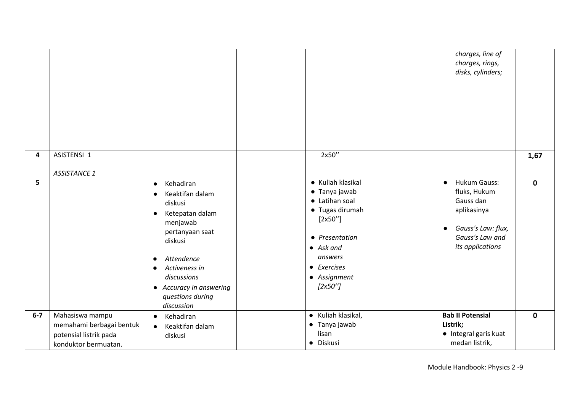|       |                                                                                               |                                                                                                                                                                                                                                                                                  |                                                                                                                                                                                  | charges, line of<br>charges, rings,<br>disks, cylinders;                                                                                               |              |
|-------|-----------------------------------------------------------------------------------------------|----------------------------------------------------------------------------------------------------------------------------------------------------------------------------------------------------------------------------------------------------------------------------------|----------------------------------------------------------------------------------------------------------------------------------------------------------------------------------|--------------------------------------------------------------------------------------------------------------------------------------------------------|--------------|
| 4     | ASISTENSI 1<br><b>ASSISTANCE 1</b>                                                            |                                                                                                                                                                                                                                                                                  | 2x50"                                                                                                                                                                            |                                                                                                                                                        | 1,67         |
| 5     |                                                                                               | Kehadiran<br>$\bullet$<br>Keaktifan dalam<br>$\bullet$<br>diskusi<br>Ketepatan dalam<br>$\bullet$<br>menjawab<br>pertanyaan saat<br>diskusi<br>Attendence<br>$\bullet$<br>Activeness in<br>$\bullet$<br>discussions<br>• Accuracy in answering<br>questions during<br>discussion | • Kuliah klasikal<br>• Tanya jawab<br>• Latihan soal<br>• Tugas dirumah<br>[2x50'']<br>• Presentation<br>$\bullet$ Ask and<br>answers<br>• Exercises<br>• Assignment<br>[2x50''] | <b>Hukum Gauss:</b><br>$\bullet$<br>fluks, Hukum<br>Gauss dan<br>aplikasinya<br>Gauss's Law: flux,<br>$\bullet$<br>Gauss's Law and<br>its applications | $\mathbf 0$  |
| $6-7$ | Mahasiswa mampu<br>memahami berbagai bentuk<br>potensial listrik pada<br>konduktor bermuatan. | Kehadiran<br>$\bullet$<br>Keaktifan dalam<br>$\bullet$<br>diskusi                                                                                                                                                                                                                | • Kuliah klasikal,<br>• Tanya jawab<br>lisan<br>· Diskusi                                                                                                                        | <b>Bab II Potensial</b><br>Listrik;<br>• Integral garis kuat<br>medan listrik,                                                                         | $\mathbf{0}$ |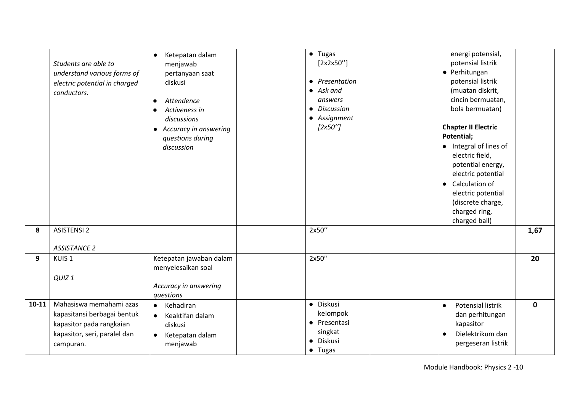|           | Students are able to<br>understand various forms of<br>electric potential in charged<br>conductors.                             | Ketepatan dalam<br>$\bullet$<br>menjawab<br>pertanyaan saat<br>diskusi<br>Attendence<br>$\bullet$<br>Activeness in<br>$\bullet$<br>discussions<br>• Accuracy in answering<br>questions during<br>discussion | • Tugas<br>[2x2x50'']<br>• Presentation<br>$\bullet$ Ask and<br>answers<br>• Discussion<br>• Assignment<br>[2x50''] | energi potensial,<br>potensial listrik<br>• Perhitungan<br>potensial listrik<br>(muatan diskrit,<br>cincin bermuatan,<br>bola bermuatan)<br><b>Chapter II Electric</b><br>Potential;<br>• Integral of lines of<br>electric field,<br>potential energy,<br>electric potential<br>Calculation of<br>$\bullet$<br>electric potential<br>(discrete charge,<br>charged ring,<br>charged ball) |              |
|-----------|---------------------------------------------------------------------------------------------------------------------------------|-------------------------------------------------------------------------------------------------------------------------------------------------------------------------------------------------------------|---------------------------------------------------------------------------------------------------------------------|------------------------------------------------------------------------------------------------------------------------------------------------------------------------------------------------------------------------------------------------------------------------------------------------------------------------------------------------------------------------------------------|--------------|
| 8         | <b>ASISTENSI 2</b><br><b>ASSISTANCE 2</b>                                                                                       |                                                                                                                                                                                                             | 2x50"                                                                                                               |                                                                                                                                                                                                                                                                                                                                                                                          | 1,67         |
| 9         | KUIS <sub>1</sub><br>QUIZ <sub>1</sub>                                                                                          | Ketepatan jawaban dalam<br>menyelesaikan soal<br>Accuracy in answering<br>questions                                                                                                                         | 2x50"                                                                                                               |                                                                                                                                                                                                                                                                                                                                                                                          | 20           |
| $10 - 11$ | Mahasiswa memahami azas<br>kapasitansi berbagai bentuk<br>kapasitor pada rangkaian<br>kapasitor, seri, paralel dan<br>campuran. | Kehadiran<br>$\bullet$<br>Keaktifan dalam<br>$\bullet$<br>diskusi<br>Ketepatan dalam<br>$\bullet$<br>menjawab                                                                                               | · Diskusi<br>kelompok<br>• Presentasi<br>singkat<br>Diskusi<br>• Tugas                                              | <b>Potensial listrik</b><br>$\bullet$<br>dan perhitungan<br>kapasitor<br>Dielektrikum dan<br>$\bullet$<br>pergeseran listrik                                                                                                                                                                                                                                                             | $\mathbf{0}$ |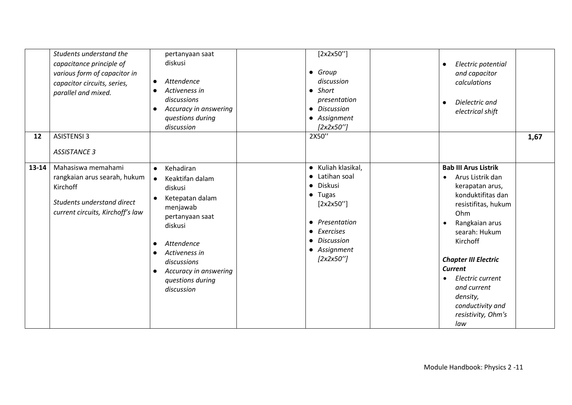|       | Students understand the<br>capacitance principle of<br>various form of capacitor in<br>capacitor circuits, series,<br>parallel and mixed. | pertanyaan saat<br>diskusi<br>Attendence<br>$\bullet$<br>Activeness in<br>$\bullet$<br>discussions<br>Accuracy in answering<br>$\bullet$<br>questions during<br>discussion                                                                                                                  | [2x2x50'']<br>$\bullet$ Group<br>discussion<br>$\bullet$ Short<br>presentation<br><b>Discussion</b><br>$\bullet$<br>• Assignment<br>[2x2x50'']                                     | Electric potential<br>$\bullet$<br>and capacitor<br>calculations<br>Dielectric and<br>$\bullet$<br>electrical shift                                                                                                                                                                                                                             |
|-------|-------------------------------------------------------------------------------------------------------------------------------------------|---------------------------------------------------------------------------------------------------------------------------------------------------------------------------------------------------------------------------------------------------------------------------------------------|------------------------------------------------------------------------------------------------------------------------------------------------------------------------------------|-------------------------------------------------------------------------------------------------------------------------------------------------------------------------------------------------------------------------------------------------------------------------------------------------------------------------------------------------|
| 12    | <b>ASISTENSI 3</b><br><b>ASSISTANCE 3</b>                                                                                                 |                                                                                                                                                                                                                                                                                             | 2X50"                                                                                                                                                                              | 1,67                                                                                                                                                                                                                                                                                                                                            |
| 13-14 | Mahasiswa memahami<br>rangkaian arus searah, hukum<br>Kirchoff<br>Students understand direct<br>current circuits, Kirchoff's law          | Kehadiran<br>$\bullet$<br>Keaktifan dalam<br>$\bullet$<br>diskusi<br>Ketepatan dalam<br>$\bullet$<br>menjawab<br>pertanyaan saat<br>diskusi<br>Attendence<br>$\bullet$<br>Activeness in<br>$\bullet$<br>discussions<br>Accuracy in answering<br>$\bullet$<br>questions during<br>discussion | • Kuliah klasikal,<br>Latihan soal<br>Diskusi<br>$\bullet$<br>• Tugas<br>[2x2x50'']<br>• Presentation<br>Exercises<br>$\bullet$<br><b>Discussion</b><br>• Assignment<br>[2x2x50''] | <b>Bab III Arus Listrik</b><br>Arus Listrik dan<br>$\bullet$<br>kerapatan arus,<br>konduktifitas dan<br>resistifitas, hukum<br>Ohm<br>Rangkaian arus<br>searah: Hukum<br>Kirchoff<br><b>Chapter III Electric</b><br><b>Current</b><br>Electric current<br>$\bullet$<br>and current<br>density,<br>conductivity and<br>resistivity, Ohm's<br>law |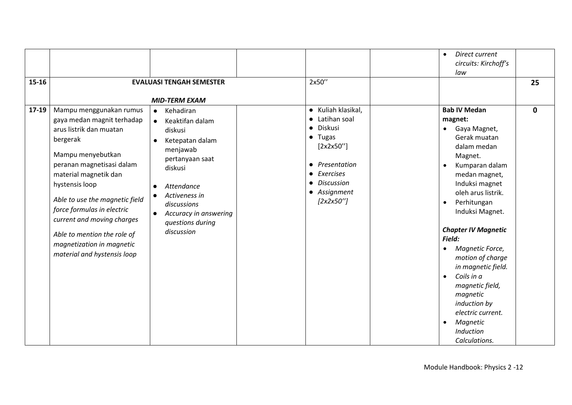|         |                                                                                                                                                                                                                                                                                                                                                                                    |                                                                                                                                                                                                                                                                   |                                                                                                                                                                   | Direct current<br>$\bullet$<br>circuits: Kirchoff's                                                                                                                                                                                                                                                                                                                                                                                                                                                                  |             |
|---------|------------------------------------------------------------------------------------------------------------------------------------------------------------------------------------------------------------------------------------------------------------------------------------------------------------------------------------------------------------------------------------|-------------------------------------------------------------------------------------------------------------------------------------------------------------------------------------------------------------------------------------------------------------------|-------------------------------------------------------------------------------------------------------------------------------------------------------------------|----------------------------------------------------------------------------------------------------------------------------------------------------------------------------------------------------------------------------------------------------------------------------------------------------------------------------------------------------------------------------------------------------------------------------------------------------------------------------------------------------------------------|-------------|
|         |                                                                                                                                                                                                                                                                                                                                                                                    |                                                                                                                                                                                                                                                                   |                                                                                                                                                                   | law                                                                                                                                                                                                                                                                                                                                                                                                                                                                                                                  |             |
| 15-16   |                                                                                                                                                                                                                                                                                                                                                                                    | <b>EVALUASI TENGAH SEMESTER</b>                                                                                                                                                                                                                                   | 2x50"                                                                                                                                                             |                                                                                                                                                                                                                                                                                                                                                                                                                                                                                                                      | 25          |
|         |                                                                                                                                                                                                                                                                                                                                                                                    | <b>MID-TERM EXAM</b>                                                                                                                                                                                                                                              |                                                                                                                                                                   |                                                                                                                                                                                                                                                                                                                                                                                                                                                                                                                      |             |
| $17-19$ | Mampu menggunakan rumus<br>gaya medan magnit terhadap<br>arus listrik dan muatan<br>bergerak<br>Mampu menyebutkan<br>peranan magnetisasi dalam<br>material magnetik dan<br>hystensis loop<br>Able to use the magnetic field<br>force formulas in electric<br>current and moving charges<br>Able to mention the role of<br>magnetization in magnetic<br>material and hystensis loop | Kehadiran<br>$\bullet$<br>Keaktifan dalam<br>$\bullet$<br>diskusi<br>Ketepatan dalam<br>$\bullet$<br>menjawab<br>pertanyaan saat<br>diskusi<br>Attendance<br>Activeness in<br>discussions<br>Accuracy in answering<br>$\bullet$<br>questions during<br>discussion | • Kuliah klasikal,<br>• Latihan soal<br>· Diskusi<br>$\bullet$ Tugas<br>[2x2x50'']<br>• Presentation<br>• Exercises<br>• Discussion<br>• Assignment<br>[2x2x50''] | <b>Bab IV Medan</b><br>magnet:<br>Gaya Magnet,<br>$\bullet$<br>Gerak muatan<br>dalam medan<br>Magnet.<br>Kumparan dalam<br>$\bullet$<br>medan magnet,<br>Induksi magnet<br>oleh arus listrik.<br>Perhitungan<br>$\bullet$<br>Induksi Magnet.<br><b>Chapter IV Magnetic</b><br>Field:<br>Magnetic Force,<br>$\bullet$<br>motion of charge<br>in magnetic field.<br>Coils in a<br>$\bullet$<br>magnetic field,<br>magnetic<br>induction by<br>electric current.<br>Magnetic<br>$\bullet$<br>Induction<br>Calculations. | $\mathbf 0$ |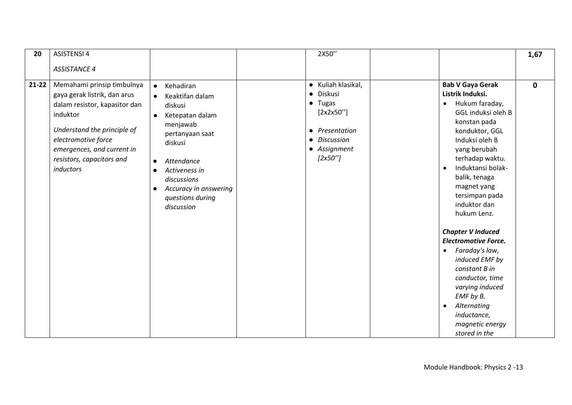| 20        | <b>ASISTENSI 4</b>                                                                                                                                                                                                                    |                                                                                                                                                                                                                                                                                             | 2X50"                                                                                                                                                |                                                                                                                                                                                                                                                                                                                                                                                                                                                                                                                        | 1,67        |
|-----------|---------------------------------------------------------------------------------------------------------------------------------------------------------------------------------------------------------------------------------------|---------------------------------------------------------------------------------------------------------------------------------------------------------------------------------------------------------------------------------------------------------------------------------------------|------------------------------------------------------------------------------------------------------------------------------------------------------|------------------------------------------------------------------------------------------------------------------------------------------------------------------------------------------------------------------------------------------------------------------------------------------------------------------------------------------------------------------------------------------------------------------------------------------------------------------------------------------------------------------------|-------------|
|           | <b>ASSISTANCE 4</b>                                                                                                                                                                                                                   |                                                                                                                                                                                                                                                                                             |                                                                                                                                                      |                                                                                                                                                                                                                                                                                                                                                                                                                                                                                                                        |             |
| $21 - 22$ | Memahami prinsip timbulnya<br>gaya gerak listrik, dan arus<br>dalam resistor, kapasitor dan<br>induktor<br>Understand the principle of<br>electromotive force<br>emergences, and current in<br>resistors, capacitors and<br>inductors | Kehadiran<br>$\bullet$<br>Keaktifan dalam<br>$\bullet$<br>diskusi<br>Ketepatan dalam<br>$\bullet$<br>menjawab<br>pertanyaan saat<br>diskusi<br>Attendance<br>$\bullet$<br>Activeness in<br>$\bullet$<br>discussions<br>Accuracy in answering<br>$\bullet$<br>questions during<br>discussion | • Kuliah klasikal,<br>Diskusi<br>$\bullet$<br>$\bullet$ Tugas<br>[2x2x50'']<br>Presentation<br>$\bullet$<br>• Discussion<br>• Assignment<br>[2x50''] | <b>Bab V Gaya Gerak</b><br>Listrik Induksi.<br>Hukum faraday,<br>$\bullet$<br>GGL induksi oleh B<br>konstan pada<br>konduktor, GGL<br>Induksi oleh B<br>yang berubah<br>terhadap waktu.<br>Induktansi bolak-<br>$\bullet$<br>balik, tenaga<br>magnet yang<br>tersimpan pada<br>induktor dan<br>hukum Lenz.<br><b>Chapter V Induced</b><br><b>Electromotive Force.</b><br>Faraday's law,<br>$\bullet$<br>induced EMF by<br>constant B in<br>conductor, time<br>varying induced<br>EMF by B.<br>Alternating<br>$\bullet$ | $\mathbf 0$ |
|           |                                                                                                                                                                                                                                       |                                                                                                                                                                                                                                                                                             |                                                                                                                                                      | inductance,<br>magnetic energy<br>stored in the                                                                                                                                                                                                                                                                                                                                                                                                                                                                        |             |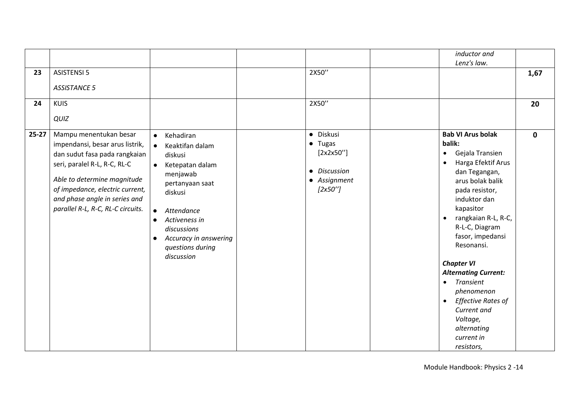|           |                                                                                                                                                                                                                                                                    |                                                                                                                                                                                                                                                                                             |                                                                                        | inductor and                                                                                                                                                                                                                                                                                                                                                                                                                                                        |             |
|-----------|--------------------------------------------------------------------------------------------------------------------------------------------------------------------------------------------------------------------------------------------------------------------|---------------------------------------------------------------------------------------------------------------------------------------------------------------------------------------------------------------------------------------------------------------------------------------------|----------------------------------------------------------------------------------------|---------------------------------------------------------------------------------------------------------------------------------------------------------------------------------------------------------------------------------------------------------------------------------------------------------------------------------------------------------------------------------------------------------------------------------------------------------------------|-------------|
|           |                                                                                                                                                                                                                                                                    |                                                                                                                                                                                                                                                                                             |                                                                                        | Lenz's law.                                                                                                                                                                                                                                                                                                                                                                                                                                                         |             |
| 23        | <b>ASISTENSI 5</b>                                                                                                                                                                                                                                                 |                                                                                                                                                                                                                                                                                             | 2X50"                                                                                  |                                                                                                                                                                                                                                                                                                                                                                                                                                                                     | 1,67        |
|           | <b>ASSISTANCE 5</b>                                                                                                                                                                                                                                                |                                                                                                                                                                                                                                                                                             |                                                                                        |                                                                                                                                                                                                                                                                                                                                                                                                                                                                     |             |
| 24        | <b>KUIS</b>                                                                                                                                                                                                                                                        |                                                                                                                                                                                                                                                                                             | 2X50"                                                                                  |                                                                                                                                                                                                                                                                                                                                                                                                                                                                     | 20          |
|           | QUIZ                                                                                                                                                                                                                                                               |                                                                                                                                                                                                                                                                                             |                                                                                        |                                                                                                                                                                                                                                                                                                                                                                                                                                                                     |             |
| $25 - 27$ | Mampu menentukan besar<br>impendansi, besar arus listrik,<br>dan sudut fasa pada rangkaian<br>seri, paralel R-L, R-C, RL-C<br>Able to determine magnitude<br>of impedance, electric current,<br>and phase angle in series and<br>parallel R-L, R-C, RL-C circuits. | Kehadiran<br>$\bullet$<br>Keaktifan dalam<br>$\bullet$<br>diskusi<br>Ketepatan dalam<br>$\bullet$<br>menjawab<br>pertanyaan saat<br>diskusi<br>Attendance<br>$\bullet$<br>Activeness in<br>$\bullet$<br>discussions<br>Accuracy in answering<br>$\bullet$<br>questions during<br>discussion | · Diskusi<br>$\bullet$ Tugas<br>[2x2x50'']<br>• Discussion<br>• Assignment<br>[2x50''] | <b>Bab VI Arus bolak</b><br>balik:<br>Gejala Transien<br>$\bullet$<br>Harga Efektif Arus<br>dan Tegangan,<br>arus bolak balik<br>pada resistor,<br>induktor dan<br>kapasitor<br>rangkaian R-L, R-C,<br>R-L-C, Diagram<br>fasor, impedansi<br>Resonansi.<br><b>Chapter VI</b><br><b>Alternating Current:</b><br><b>Transient</b><br>$\bullet$<br>phenomenon<br>Effective Rates of<br>$\bullet$<br>Current and<br>Voltage,<br>alternating<br>current in<br>resistors, | $\mathbf 0$ |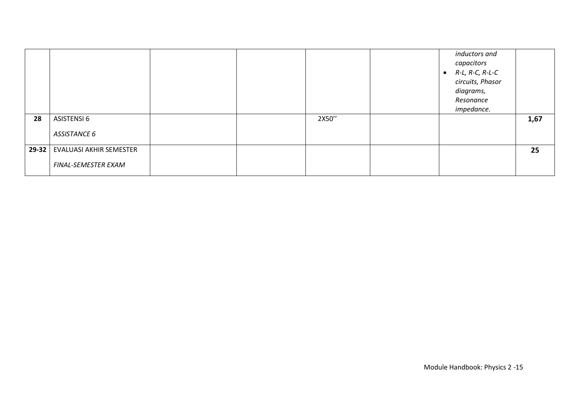| 28 | ASISTENSI 6<br>ASSISTANCE 6     |  | 2X50" | inductors and<br>capacitors<br>R-L, R-C, R-L-C<br>$\bullet$<br>circuits, Phasor<br>diagrams,<br>Resonance<br>impedance. | 1,67 |
|----|---------------------------------|--|-------|-------------------------------------------------------------------------------------------------------------------------|------|
|    |                                 |  |       |                                                                                                                         |      |
|    | 29-32   EVALUASI AKHIR SEMESTER |  |       |                                                                                                                         | 25   |
|    | FINAL-SEMESTER EXAM             |  |       |                                                                                                                         |      |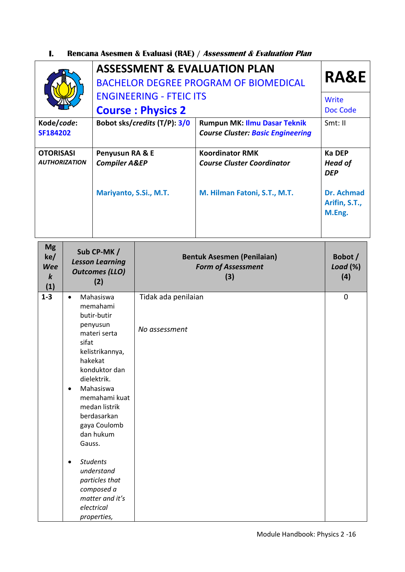#### **I. Rencana Asesmen & Evaluasi (RAE) / Assessment & Evaluation Plan**

|                                          | <b>ASSESSMENT &amp; EVALUATION PLAN</b><br><b>BACHELOR DEGREE PROGRAM OF BIOMEDICAL</b> | <b>RA&amp;E</b>                                                          |                                        |
|------------------------------------------|-----------------------------------------------------------------------------------------|--------------------------------------------------------------------------|----------------------------------------|
|                                          | <b>ENGINEERING - FTEIC ITS</b>                                                          |                                                                          | Write                                  |
|                                          | <b>Course: Physics 2</b>                                                                | Doc Code                                                                 |                                        |
| Kode/code:<br><b>SF184202</b>            | Bobot sks/credits (T/P): 3/0                                                            | Rumpun MK: Ilmu Dasar Teknik<br><b>Course Cluster: Basic Engineering</b> | Smt:II                                 |
| <b>OTORISASI</b><br><b>AUTHORIZATION</b> | Penyusun RA & E<br><b>Compiler A&amp;EP</b>                                             | <b>Koordinator RMK</b><br><b>Course Cluster Coordinator</b>              | Ka DEP<br><b>Head of</b><br><b>DEP</b> |
|                                          | Mariyanto, S.Si., M.T.                                                                  | M. Hilman Fatoni, S.T., M.T.                                             | Dr. Achmad<br>Arifin, S.T.,<br>M.Eng.  |

| (3)<br>(2)<br>(1)                                                                                                                                                                                                                                                                                                                                                                                                                                       |             |
|---------------------------------------------------------------------------------------------------------------------------------------------------------------------------------------------------------------------------------------------------------------------------------------------------------------------------------------------------------------------------------------------------------------------------------------------------------|-------------|
| $1 - 3$<br>Mahasiswa<br>Tidak ada penilaian<br>$\bullet$<br>memahami<br>butir-butir<br>penyusun<br>No assessment<br>materi serta<br>sifat<br>kelistrikannya,<br>hakekat<br>konduktor dan<br>dielektrik.<br>Mahasiswa<br>$\bullet$<br>memahami kuat<br>medan listrik<br>berdasarkan<br>gaya Coulomb<br>dan hukum<br>Gauss.<br><b>Students</b><br>$\bullet$<br>understand<br>particles that<br>composed a<br>matter and it's<br>electrical<br>properties, | $\mathbf 0$ |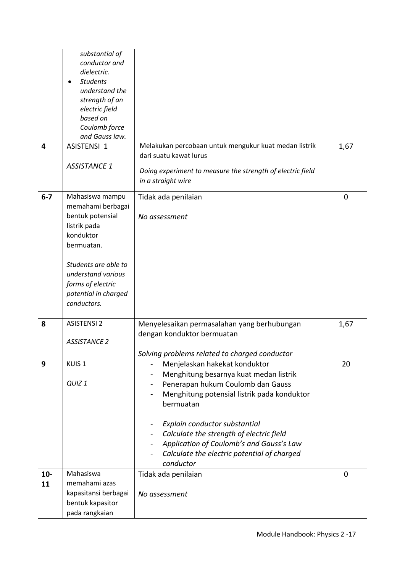|             | substantial of<br>conductor and<br>dielectric.<br><b>Students</b><br>$\bullet$<br>understand the<br>strength of an<br>electric field                                                                          |                                                                                                                                                                                                                                                                                                                                                               |             |
|-------------|---------------------------------------------------------------------------------------------------------------------------------------------------------------------------------------------------------------|---------------------------------------------------------------------------------------------------------------------------------------------------------------------------------------------------------------------------------------------------------------------------------------------------------------------------------------------------------------|-------------|
|             | based on<br>Coulomb force<br>and Gauss law.                                                                                                                                                                   |                                                                                                                                                                                                                                                                                                                                                               |             |
| 4           | ASISTENSI 1<br><b>ASSISTANCE 1</b>                                                                                                                                                                            | Melakukan percobaan untuk mengukur kuat medan listrik<br>dari suatu kawat lurus<br>Doing experiment to measure the strength of electric field<br>in a straight wire                                                                                                                                                                                           | 1,67        |
| $6 - 7$     | Mahasiswa mampu<br>memahami berbagai<br>bentuk potensial<br>listrik pada<br>konduktor<br>bermuatan.<br>Students are able to<br>understand various<br>forms of electric<br>potential in charged<br>conductors. | Tidak ada penilaian<br>No assessment                                                                                                                                                                                                                                                                                                                          | 0           |
| 8           | <b>ASISTENSI 2</b><br><b>ASSISTANCE 2</b>                                                                                                                                                                     | Menyelesaikan permasalahan yang berhubungan<br>dengan konduktor bermuatan<br>Solving problems related to charged conductor                                                                                                                                                                                                                                    | 1,67        |
| 9           | KUIS <sub>1</sub><br>QUIZ <sub>1</sub>                                                                                                                                                                        | Menjelaskan hakekat konduktor<br>Menghitung besarnya kuat medan listrik<br>Penerapan hukum Coulomb dan Gauss<br>Menghitung potensial listrik pada konduktor<br>bermuatan<br>Explain conductor substantial<br>Calculate the strength of electric field<br>Application of Coulomb's and Gauss's Law<br>Calculate the electric potential of charged<br>conductor | 20          |
| $10-$<br>11 | Mahasiswa<br>memahami azas<br>kapasitansi berbagai<br>bentuk kapasitor<br>pada rangkaian                                                                                                                      | Tidak ada penilaian<br>No assessment                                                                                                                                                                                                                                                                                                                          | $\mathbf 0$ |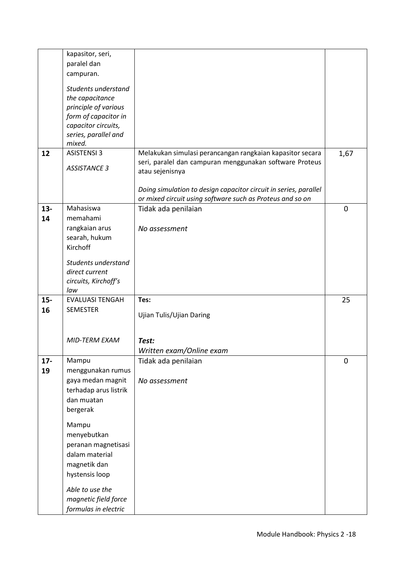|        | kapasitor, seri,       |                                                                                                                      |      |
|--------|------------------------|----------------------------------------------------------------------------------------------------------------------|------|
|        | paralel dan            |                                                                                                                      |      |
|        | campuran.              |                                                                                                                      |      |
|        | Students understand    |                                                                                                                      |      |
|        | the capacitance        |                                                                                                                      |      |
|        | principle of various   |                                                                                                                      |      |
|        | form of capacitor in   |                                                                                                                      |      |
|        | capacitor circuits,    |                                                                                                                      |      |
|        | series, parallel and   |                                                                                                                      |      |
|        | mixed.                 |                                                                                                                      |      |
| 12     | <b>ASISTENSI 3</b>     | Melakukan simulasi perancangan rangkaian kapasitor secara<br>seri, paralel dan campuran menggunakan software Proteus | 1,67 |
|        | <b>ASSISTANCE 3</b>    | atau sejenisnya                                                                                                      |      |
|        |                        |                                                                                                                      |      |
|        |                        | Doing simulation to design capacitor circuit in series, parallel                                                     |      |
|        |                        | or mixed circuit using software such as Proteus and so on                                                            |      |
| $13 -$ | Mahasiswa              | Tidak ada penilaian                                                                                                  | 0    |
| 14     | memahami               |                                                                                                                      |      |
|        | rangkaian arus         | No assessment                                                                                                        |      |
|        | searah, hukum          |                                                                                                                      |      |
|        | Kirchoff               |                                                                                                                      |      |
|        | Students understand    |                                                                                                                      |      |
|        | direct current         |                                                                                                                      |      |
|        | circuits, Kirchoff's   |                                                                                                                      |      |
|        | law                    |                                                                                                                      |      |
| $15-$  | <b>EVALUASI TENGAH</b> | Tes:                                                                                                                 | 25   |
| 16     | <b>SEMESTER</b>        | Ujian Tulis/Ujian Daring                                                                                             |      |
|        |                        |                                                                                                                      |      |
|        |                        |                                                                                                                      |      |
|        | <b>MID-TERM EXAM</b>   | Test:                                                                                                                |      |
|        |                        | Written exam/Online exam                                                                                             |      |
| $17 -$ | Mampu                  | Tidak ada penilaian                                                                                                  | 0    |
| 19     | menggunakan rumus      |                                                                                                                      |      |
|        | gaya medan magnit      | No assessment                                                                                                        |      |
|        | terhadap arus listrik  |                                                                                                                      |      |
|        | dan muatan             |                                                                                                                      |      |
|        | bergerak               |                                                                                                                      |      |
|        | Mampu                  |                                                                                                                      |      |
|        | menyebutkan            |                                                                                                                      |      |
|        | peranan magnetisasi    |                                                                                                                      |      |
|        | dalam material         |                                                                                                                      |      |
|        | magnetik dan           |                                                                                                                      |      |
|        | hystensis loop         |                                                                                                                      |      |
|        |                        |                                                                                                                      |      |
|        | Able to use the        |                                                                                                                      |      |
|        | magnetic field force   |                                                                                                                      |      |
|        | formulas in electric   |                                                                                                                      |      |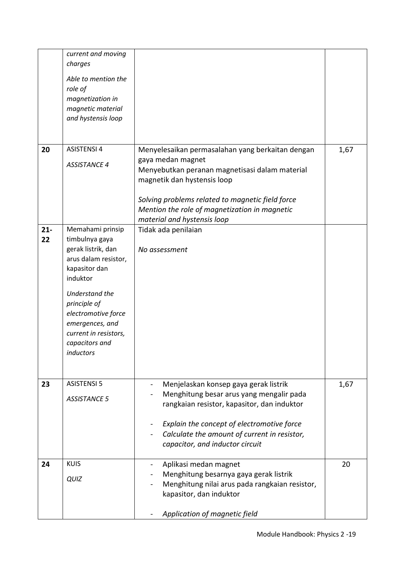|        | current and moving    |                                                  |      |
|--------|-----------------------|--------------------------------------------------|------|
|        | charges               |                                                  |      |
|        | Able to mention the   |                                                  |      |
|        | role of               |                                                  |      |
|        | magnetization in      |                                                  |      |
|        | magnetic material     |                                                  |      |
|        | and hystensis loop    |                                                  |      |
|        |                       |                                                  |      |
|        |                       |                                                  |      |
| 20     | <b>ASISTENSI 4</b>    | Menyelesaikan permasalahan yang berkaitan dengan | 1,67 |
|        |                       | gaya medan magnet                                |      |
|        | <b>ASSISTANCE 4</b>   | Menyebutkan peranan magnetisasi dalam material   |      |
|        |                       |                                                  |      |
|        |                       | magnetik dan hystensis loop                      |      |
|        |                       | Solving problems related to magnetic field force |      |
|        |                       | Mention the role of magnetization in magnetic    |      |
|        |                       | material and hystensis loop                      |      |
| $21 -$ | Memahami prinsip      | Tidak ada penilaian                              |      |
| 22     | timbulnya gaya        |                                                  |      |
|        | gerak listrik, dan    | No assessment                                    |      |
|        | arus dalam resistor,  |                                                  |      |
|        | kapasitor dan         |                                                  |      |
|        | induktor              |                                                  |      |
|        | Understand the        |                                                  |      |
|        | principle of          |                                                  |      |
|        | electromotive force   |                                                  |      |
|        | emergences, and       |                                                  |      |
|        | current in resistors, |                                                  |      |
|        | capacitors and        |                                                  |      |
|        | inductors             |                                                  |      |
|        |                       |                                                  |      |
|        |                       |                                                  |      |
| 23     | <b>ASISTENSI 5</b>    | Menjelaskan konsep gaya gerak listrik            | 1,67 |
|        | <b>ASSISTANCE 5</b>   | Menghitung besar arus yang mengalir pada         |      |
|        |                       | rangkaian resistor, kapasitor, dan induktor      |      |
|        |                       |                                                  |      |
|        |                       | Explain the concept of electromotive force       |      |
|        |                       | Calculate the amount of current in resistor,     |      |
|        |                       | capacitor, and inductor circuit                  |      |
| 24     | <b>KUIS</b>           | Aplikasi medan magnet                            | 20   |
|        |                       | Menghitung besarnya gaya gerak listrik           |      |
|        | QUIZ                  | Menghitung nilai arus pada rangkaian resistor,   |      |
|        |                       | kapasitor, dan induktor                          |      |
|        |                       |                                                  |      |
|        |                       |                                                  |      |
|        |                       | Application of magnetic field                    |      |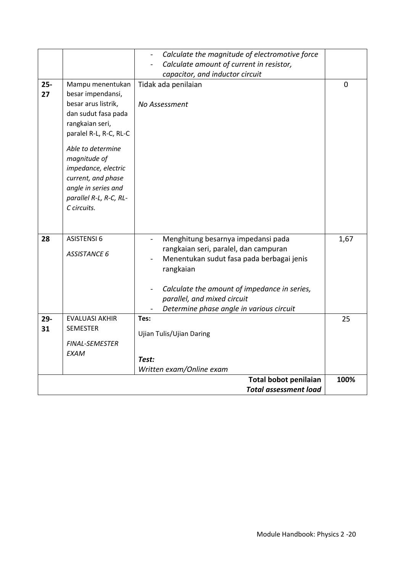|              |                                                                                                                                                                                                                            | Calculate the magnitude of electromotive force<br>$\blacksquare$                                                        |                |
|--------------|----------------------------------------------------------------------------------------------------------------------------------------------------------------------------------------------------------------------------|-------------------------------------------------------------------------------------------------------------------------|----------------|
|              |                                                                                                                                                                                                                            | Calculate amount of current in resistor,                                                                                |                |
|              |                                                                                                                                                                                                                            | capacitor, and inductor circuit                                                                                         |                |
| $25 -$<br>27 | Mampu menentukan<br>besar impendansi,                                                                                                                                                                                      | Tidak ada penilaian                                                                                                     | $\overline{0}$ |
|              | besar arus listrik,<br>dan sudut fasa pada<br>rangkaian seri,<br>paralel R-L, R-C, RL-C<br>Able to determine<br>magnitude of<br>impedance, electric<br>current, and phase<br>angle in series and<br>parallel R-L, R-C, RL- | No Assessment                                                                                                           |                |
|              | C circuits.                                                                                                                                                                                                                |                                                                                                                         |                |
| 28           | <b>ASISTENSI 6</b>                                                                                                                                                                                                         | Menghitung besarnya impedansi pada                                                                                      | 1,67           |
|              | <b>ASSISTANCE 6</b>                                                                                                                                                                                                        | rangkaian seri, paralel, dan campuran<br>Menentukan sudut fasa pada berbagai jenis<br>rangkaian                         |                |
|              |                                                                                                                                                                                                                            | Calculate the amount of impedance in series,<br>parallel, and mixed circuit<br>Determine phase angle in various circuit |                |
| 29-          | <b>EVALUASI AKHIR</b>                                                                                                                                                                                                      | Tes:                                                                                                                    | 25             |
| 31           | <b>SEMESTER</b>                                                                                                                                                                                                            | Ujian Tulis/Ujian Daring                                                                                                |                |
|              | <b>FINAL-SEMESTER</b><br><b>EXAM</b>                                                                                                                                                                                       |                                                                                                                         |                |
|              |                                                                                                                                                                                                                            | Test:                                                                                                                   |                |
|              |                                                                                                                                                                                                                            | Written exam/Online exam                                                                                                |                |
|              |                                                                                                                                                                                                                            | <b>Total bobot penilaian</b>                                                                                            | 100%           |
|              |                                                                                                                                                                                                                            | <b>Total assessment load</b>                                                                                            |                |